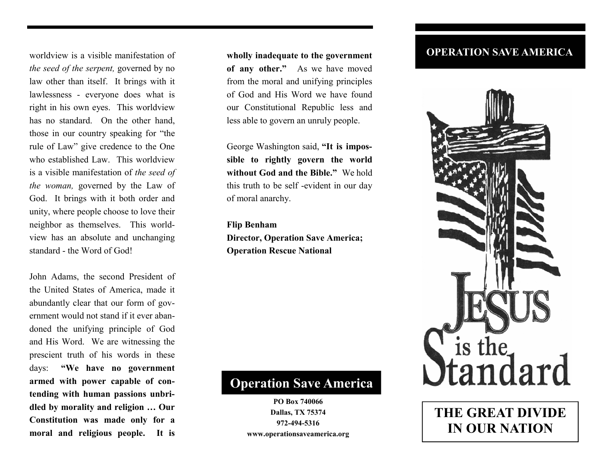worldview is a visible manifestation of *the seed of the serpent,* governed by no law other than itself. It brings with it lawlessness - everyone does what is right in his own eyes. This worldview has no standard. On the other hand, those in our country speaking for "the rule of Law" give credence to the One who established Law. This worldview is a visible manifestation of *the seed of the woman,* governed by the Law of God. It brings with it both order and unity, where people choose to love their neighbor as themselves. This worldview has an absolute and unchanging standard - the Word of God!

John Adams, the second President of the United States of America, made it abundantly clear that our form of government would not stand if it ever abandoned the unifying principle of God and His Word. We are witnessing the prescient truth of his words in these days: **"We have no government armed with power capable of contending with human passions unbridled by morality and religion … Our Constitution was made only for a moral and religious people. It is** 

**wholly inadequate to the government of any other."** As we have moved from the moral and unifying principles of God and His Word we have found our Constitutional Republic less and less able to govern an unruly people.

George Washington said, **"It is impossible to rightly govern the world without God and the Bible."** We hold this truth to be self -evident in our day of moral anarchy.

**Flip Benham Director, Operation Save America; Operation Rescue National**

## **Operation Save America**

**PO Box 740066 Dallas, TX 75374 972-494-5316 www.operationsaveamerica.org** 

## **OPERATION SAVE AMERICA**



**THE GREAT DIVIDE IN OUR NATION**